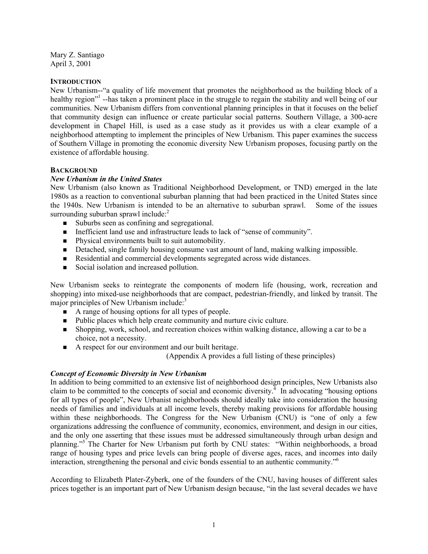Mary Z. Santiago April 3, 2001

#### **INTRODUCTION**

New Urbanism--"a quality of life movement that promotes the neighborhood as the building block of a healthy region"<sup>1</sup> --has taken a prominent place in the struggle to regain the stability and well being of our communities. New Urbanism differs from conventional planning principles in that it focuses on the belief that community design can influence or create particular social patterns. Southern Village, a 300-acre development in Chapel Hill, is used as a case study as it provides us with a clear example of a neighborhood attempting to implement the principles of New Urbanism. This paper examines the success of Southern Village in promoting the economic diversity New Urbanism proposes, focusing partly on the existence of affordable housing.

#### **BACKGROUND**

## *New Urbanism in the United States*

New Urbanism (also known as Traditional Neighborhood Development, or TND) emerged in the late 1980s as a reaction to conventional suburban planning that had been practiced in the United States since the 1940s. New Urbanism is intended to be an alternative to suburban sprawl. Some of the issues surrounding suburban sprawl include: $<sup>2</sup>$ </sup>

- Suburbs seen as confining and segregational.
- Inefficient land use and infrastructure leads to lack of "sense of community".
- **Physical environments built to suit automobility.**
- Detached, single family housing consume vast amount of land, making walking impossible.
- Residential and commercial developments segregated across wide distances.
- Social isolation and increased pollution.

New Urbanism seeks to reintegrate the components of modern life (housing, work, recreation and shopping) into mixed-use neighborhoods that are compact, pedestrian-friendly, and linked by transit. The major principles of New Urbanism include:<sup>3</sup>

- A range of housing options for all types of people.
- Public places which help create community and nurture civic culture.
- Shopping, work, school, and recreation choices within walking distance, allowing a car to be a choice, not a necessity.
- A respect for our environment and our built heritage.

(Appendix A provides a full listing of these principles)

## *Concept of Economic Diversity in New Urbanism*

In addition to being committed to an extensive list of neighborhood design principles, New Urbanists also claim to be committed to the concepts of social and economic diversity. $\frac{4}{1}$  In advocating "housing options" for all types of people", New Urbanist neighborhoods should ideally take into consideration the housing needs of families and individuals at all income levels, thereby making provisions for affordable housing within these neighborhoods. The Congress for the New Urbanism (CNU) is "one of only a few organizations addressing the confluence of community, economics, environment, and design in our cities, and the only one asserting that these issues must be addressed simultaneously through urban design and planning."5 The Charter for New Urbanism put forth by CNU states: "Within neighborhoods, a broad range of housing types and price levels can bring people of diverse ages, races, and incomes into daily interaction, strengthening the personal and civic bonds essential to an authentic community."6

According to Elizabeth Plater-Zyberk, one of the founders of the CNU, having houses of different sales prices together is an important part of New Urbanism design because, "in the last several decades we have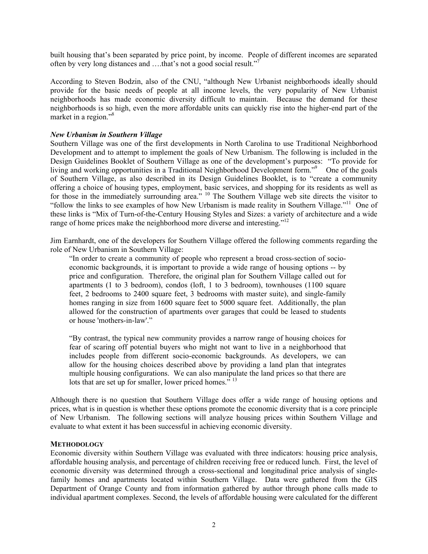built housing that's been separated by price point, by income. People of different incomes are separated often by very long distances and ....that's not a good social result."<sup>7</sup>

According to Steven Bodzin, also of the CNU, "although New Urbanist neighborhoods ideally should provide for the basic needs of people at all income levels, the very popularity of New Urbanist neighborhoods has made economic diversity difficult to maintain. Because the demand for these neighborhoods is so high, even the more affordable units can quickly rise into the higher-end part of the market in a region."<sup>8</sup>

#### *New Urbanism in Southern Village*

Southern Village was one of the first developments in North Carolina to use Traditional Neighborhood Development and to attempt to implement the goals of New Urbanism. The following is included in the Design Guidelines Booklet of Southern Village as one of the development's purposes: "To provide for living and working opportunities in a Traditional Neighborhood Development form."<sup>9</sup> One of the goals of Southern Village, as also described in its Design Guidelines Booklet, is to "create a community offering a choice of housing types, employment, basic services, and shopping for its residents as well as for those in the immediately surrounding area." <sup>10</sup> The Southern Village web site directs the visitor to "follow the links to see examples of how New Urbanism is made reality in Southern Village."11 One of these links is "Mix of Turn-of-the-Century Housing Styles and Sizes: a variety of architecture and a wide range of home prices make the neighborhood more diverse and interesting."<sup>12</sup>

Jim Earnhardt, one of the developers for Southern Village offered the following comments regarding the role of New Urbanism in Southern Village:

"In order to create a community of people who represent a broad cross-section of socioeconomic backgrounds, it is important to provide a wide range of housing options -- by price and configuration. Therefore, the original plan for Southern Village called out for apartments (1 to 3 bedroom), condos (loft, 1 to 3 bedroom), townhouses (1100 square feet, 2 bedrooms to 2400 square feet, 3 bedrooms with master suite), and single-family homes ranging in size from 1600 square feet to 5000 square feet. Additionally, the plan allowed for the construction of apartments over garages that could be leased to students or house 'mothers-in-law'."

"By contrast, the typical new community provides a narrow range of housing choices for fear of scaring off potential buyers who might not want to live in a neighborhood that includes people from different socio-economic backgrounds. As developers, we can allow for the housing choices described above by providing a land plan that integrates multiple housing configurations. We can also manipulate the land prices so that there are lots that are set up for smaller, lower priced homes."<sup>13</sup>

Although there is no question that Southern Village does offer a wide range of housing options and prices, what is in question is whether these options promote the economic diversity that is a core principle of New Urbanism. The following sections will analyze housing prices within Southern Village and evaluate to what extent it has been successful in achieving economic diversity.

#### **METHODOLOGY**

Economic diversity within Southern Village was evaluated with three indicators: housing price analysis, affordable housing analysis, and percentage of children receiving free or reduced lunch. First, the level of economic diversity was determined through a cross-sectional and longitudinal price analysis of singlefamily homes and apartments located within Southern Village. Data were gathered from the GIS Department of Orange County and from information gathered by author through phone calls made to individual apartment complexes. Second, the levels of affordable housing were calculated for the different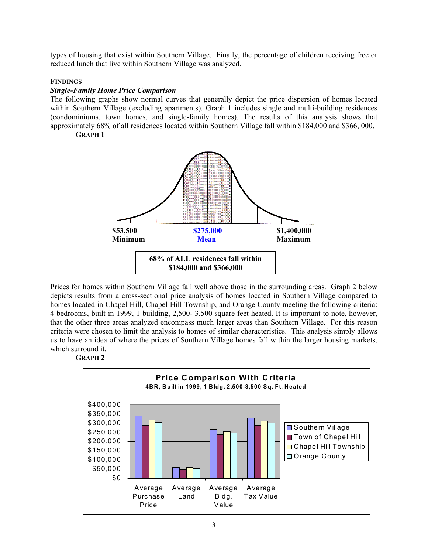types of housing that exist within Southern Village. Finally, the percentage of children receiving free or reduced lunch that live within Southern Village was analyzed.

### **FINDINGS**

#### *Single-Family Home Price Comparison*

The following graphs show normal curves that generally depict the price dispersion of homes located within Southern Village (excluding apartments). Graph 1 includes single and multi-building residences (condominiums, town homes, and single-family homes). The results of this analysis shows that approximately 68% of all residences located within Southern Village fall within \$184,000 and \$366, 000.

**GRAPH 1** 



Prices for homes within Southern Village fall well above those in the surrounding areas. Graph 2 below depicts results from a cross-sectional price analysis of homes located in Southern Village compared to homes located in Chapel Hill, Chapel Hill Township, and Orange County meeting the following criteria: 4 bedrooms, built in 1999, 1 building, 2,500- 3,500 square feet heated. It is important to note, however, that the other three areas analyzed encompass much larger areas than Southern Village. For this reason criteria were chosen to limit the analysis to homes of similar characteristics. This analysis simply allows us to have an idea of where the prices of Southern Village homes fall within the larger housing markets, which surround it.



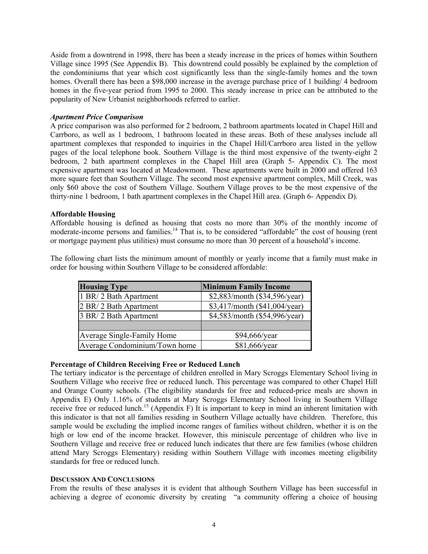Aside from a downtrend in 1998, there has been a steady increase in the prices of homes within Southern Village since 1995 (See Appendix B). This downtrend could possibly be explained by the completion of the condominiums that year which cost significantly less than the single-family homes and the town homes. Overall there has been a \$98,000 increase in the average purchase price of 1 building/ 4 bedroom homes in the five-year period from 1995 to 2000. This steady increase in price can be attributed to the popularity of New Urbanist neighborhoods referred to earlier.

#### *Apartment Price Comparison*

A price comparison was also performed for 2 bedroom, 2 bathroom apartments located in Chapel Hill and Carrboro, as well as 1 bedroom, 1 bathroom located in these areas. Both of these analyses include all apartment complexes that responded to inquiries in the Chapel Hill/Carrboro area listed in the yellow pages of the local telephone book. Southern Village is the third most expensive of the twenty-eight 2 bedroom, 2 bath apartment complexes in the Chapel Hill area (Graph 5- Appendix C). The most expensive apartment was located at Meadowmont. These apartments were built in 2000 and offered 163 more square feet than Southern Village. The second most expensive apartment complex, Mill Creek, was only \$60 above the cost of Southern Village. Southern Village proves to be the most expensive of the thirty-nine 1 bedroom, 1 bath apartment complexes in the Chapel Hill area. (Graph 6- Appendix D).

#### **Affordable Housing**

Affordable housing is defined as housing that costs no more than 30% of the monthly income of moderate-income persons and families.<sup>14</sup> That is, to be considered "affordable" the cost of housing (rent or mortgage payment plus utilities) must consume no more than 30 percent of a household's income.

The following chart lists the minimum amount of monthly or yearly income that a family must make in order for housing within Southern Village to be considered affordable:

| <b>Housing Type</b>           | <b>Minimum Family Income</b>  |
|-------------------------------|-------------------------------|
| 1 BR/2 Bath Apartment         | \$2,883/month (\$34,596/year) |
| 2 BR/2 Bath Apartment         | \$3,417/month (\$41,004/year) |
| 3 BR/2 Bath Apartment         | \$4,583/month (\$54,996/year) |
|                               |                               |
| Average Single-Family Home    | $$94,666$ /year               |
| Average Condominium/Town home | \$81,666/year                 |

## **Percentage of Children Receiving Free or Reduced Lunch**

The tertiary indicator is the percentage of children enrolled in Mary Scroggs Elementary School living in Southern Village who receive free or reduced lunch. This percentage was compared to other Chapel Hill and Orange County schools. (The eligibility standards for free and reduced-price meals are shown in Appendix E) Only 1.16% of students at Mary Scroggs Elementary School living in Southern Village receive free or reduced lunch.<sup>15</sup> (Appendix F) It is important to keep in mind an inherent limitation with this indicator is that not all families residing in Southern Village actually have children. Therefore, this sample would be excluding the implied income ranges of families without children, whether it is on the high or low end of the income bracket. However, this miniscule percentage of children who live in Southern Village and receive free or reduced lunch indicates that there are few families (whose children attend Mary Scroggs Elementary) residing within Southern Village with incomes meeting eligibility standards for free or reduced lunch.

#### **DISCUSSION AND CONCLUSIONS**

From the results of these analyses it is evident that although Southern Village has been successful in achieving a degree of economic diversity by creating "a community offering a choice of housing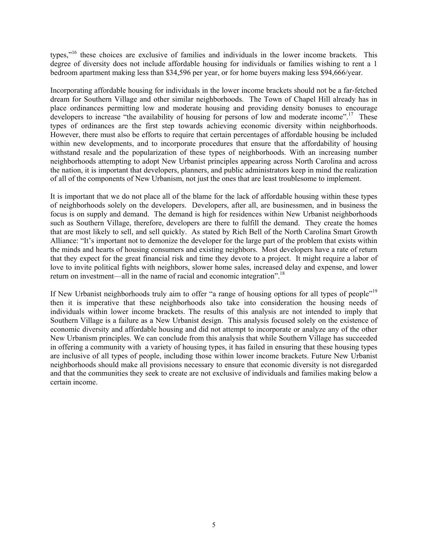types,"16 these choices are exclusive of families and individuals in the lower income brackets. This degree of diversity does not include affordable housing for individuals or families wishing to rent a 1 bedroom apartment making less than \$34,596 per year, or for home buyers making less \$94,666/year.

Incorporating affordable housing for individuals in the lower income brackets should not be a far-fetched dream for Southern Village and other similar neighborhoods. The Town of Chapel Hill already has in place ordinances permitting low and moderate housing and providing density bonuses to encourage developers to increase "the availability of housing for persons of low and moderate income".<sup>17</sup> These types of ordinances are the first step towards achieving economic diversity within neighborhoods. However, there must also be efforts to require that certain percentages of affordable housing be included within new developments, and to incorporate procedures that ensure that the affordability of housing withstand resale and the popularization of these types of neighborhoods. With an increasing number neighborhoods attempting to adopt New Urbanist principles appearing across North Carolina and across the nation, it is important that developers, planners, and public administrators keep in mind the realization of all of the components of New Urbanism, not just the ones that are least troublesome to implement.

It is important that we do not place all of the blame for the lack of affordable housing within these types of neighborhoods solely on the developers. Developers, after all, are businessmen, and in business the focus is on supply and demand. The demand is high for residences within New Urbanist neighborhoods such as Southern Village, therefore, developers are there to fulfill the demand. They create the homes that are most likely to sell, and sell quickly. As stated by Rich Bell of the North Carolina Smart Growth Alliance: "It's important not to demonize the developer for the large part of the problem that exists within the minds and hearts of housing consumers and existing neighbors. Most developers have a rate of return that they expect for the great financial risk and time they devote to a project. It might require a labor of love to invite political fights with neighbors, slower home sales, increased delay and expense, and lower return on investment—all in the name of racial and economic integration".18

If New Urbanist neighborhoods truly aim to offer "a range of housing options for all types of people"<sup>19</sup> then it is imperative that these neighborhoods also take into consideration the housing needs of individuals within lower income brackets. The results of this analysis are not intended to imply that Southern Village is a failure as a New Urbanist design. This analysis focused solely on the existence of economic diversity and affordable housing and did not attempt to incorporate or analyze any of the other New Urbanism principles. We can conclude from this analysis that while Southern Village has succeeded in offering a community with a variety of housing types, it has failed in ensuring that these housing types are inclusive of all types of people, including those within lower income brackets. Future New Urbanist neighborhoods should make all provisions necessary to ensure that economic diversity is not disregarded and that the communities they seek to create are not exclusive of individuals and families making below a certain income.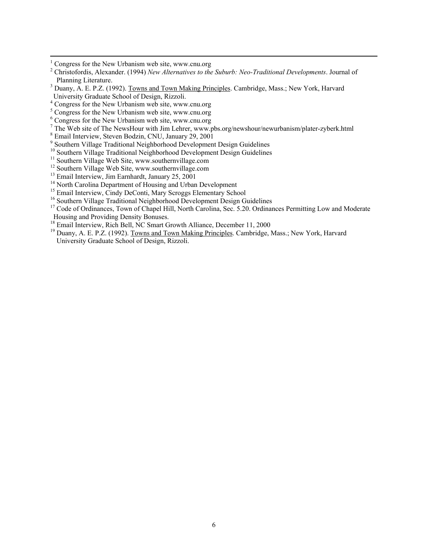- $\frac{1}{1}$ Congress for the New Urbanism web site, www.cnu.org
- 2 Christofordis, Alexander. (1994) *New Alternatives to the Suburb: Neo-Traditional Developments*. Journal of Planning Literature.
- <sup>3</sup> Duany, A. E. P.Z. (1992). Towns and Town Making Principles. Cambridge, Mass.; New York, Harvard University Graduate School of Design, Rizzoli.
- 4 Congress for the New Urbanism web site, www.cnu.org
- <sup>5</sup> Congress for the New Urbanism web site, www.cnu.org
- 6 Congress for the New Urbanism web site, www.cnu.org
- The Web site of The NewsHour with Jim Lehrer, www.pbs.org/newshour/newurbanism/plater-zyberk.html  $\frac{8 \text{ E}}{20.2001}$
- 
- <sup>8</sup> Email Interview, Steven Bodzin, CNU, January 29, 2001<br><sup>9</sup> Southern Village Traditional Neighborhood Development Design Guidelines
- <sup>10</sup> Southern Village Traditional Neighborhood Development Design Guidelines
- $11$  Southern Village Web Site, www.southernvillage.com
- <sup>12</sup> Southern Village Web Site, www.southernvillage.com
- <sup>13</sup> Email Interview, Jim Earnhardt, January 25, 2001
- <sup>14</sup> North Carolina Department of Housing and Urban Development
- 
- <sup>15</sup> Email Interview, Cindy DeConti, Mary Scroggs Elementary School  $^{16}$  Southern Village Traditional Neighborhood Development Design Guidelines
- <sup>17</sup> Code of Ordinances, Town of Chapel Hill, North Carolina, Sec. 5.20. Ordinances Permitting Low and Moderate Housing and Providing Density Bonuses.<br><sup>18</sup> Email Interview, Rich Bell, NC Smart Growth Alliance, December 11, 2000
- 
- <sup>18</sup> Email Interview, Rich Bell, NC Smart Growth Alliance, December 11, 2000<br><sup>19</sup> Duany, A. E. P.Z. (1992). <u>Towns and Town Making Principles</u>. Cambridge, Mass.; New York, Harvard University Graduate School of Design, Rizzoli.